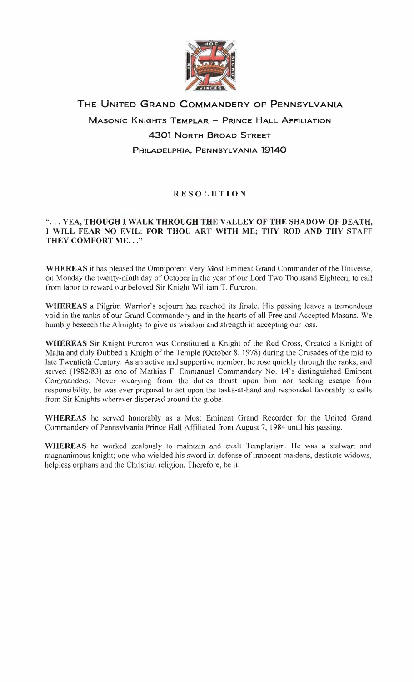

## THE UNITED GRAND COMMANDERY OF PENNSYLVANIA **MASONIC KNIGHTS TEMPLAR - PRINCE HALL AFFILIATION** 4301 NORTH BROAD STREET PHILADELPHIA, PENNSYLVANIA 19140

## RESOLUTION

## "... YEA, THOUGH I WALK THROUGH THE VALLEY OF THE SHADOW OF DEATH, I WILL FEAR NO EVIL: FOR THOU ART WITH ME; THY ROD AND THY STAFF THEY COMFORT ME. .."

WHEREAS it has pleased the Omnipotent Very Most Eminent Grand Commander of the Universe, on Monday the twenty-ninth day of October in the year of our Lord Two Thousand Eighteen, to call from labor to reward our beloved Sir Knight William T. Furcron.

WHEREAS a Pilgrim Warrior's sojourn has reached its finale. His passing leaves a tremendous void in the ranks of our Grand Comrnandery and in the hearts of all Free and Accepted Masons. We humbly beseech the Almighty to give us wisdom and strength in accepting our loss.

WHEREAS Sir Knight Furcron was Constituted a Knight of the Red Cross, Created a Knight of Malta and duly Dubbed a Knight of the Temple (October 8, 19·/8) during the Crusades of the mid to late Twentieth Century. As an active and supportive member, be rose quickly through the ranks, and served (1982/83) as one of Mathias F. Emmanuel Commandery No. 14's distinguished Eminent Commanders. Never wearying from the duties thrust upon him nor seeking escape from responsibility, he was ever prepared to act upon the tasks-at-hand and responded favorably to calls from Sir Knights wherever dispersed around the globe.

WHEREAS he served honorably as a Most Eminent Grand Recorder for the United Grand Commandery of Pennsylvania Prince Hall Affiliated from August 7, 1984 until his passing.

WHEREAS he worked zealously to maintain and exalt Templarism. He was a stalwart and magnanimous knight; one who wielded his sword in defense of innocent maidens, destitute widows, helpless orphans and the Christian religion. Therefore, be it: